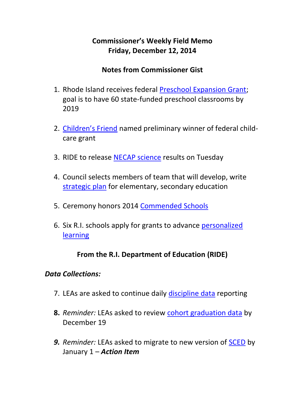# **Commissioner's Weekly Field Memo Friday, December 12, 2014**

### **Notes from Commissioner Gist**

- 1. Rhode Island receives federal [Preschool Expansion Grant;](#page-2-0) goal is to have 60 state-funded preschool classrooms by 2019
- 2. [Children's Friend](#page-3-0) named preliminary winner of federal childcare grant
- 3. RIDE to release [NECAP science](#page-4-0) results on Tuesday
- 4. Council selects members of team that will develop, write [strategic plan](#page-4-1) for elementary, secondary education
- 5. Ceremony honors 2014 [Commended Schools](#page-5-0)
- 6. Six R.I. schools apply for grants to advance [personalized](#page-4-0)  [learning](#page-4-0)

### **From the R.I. Department of Education (RIDE)**

#### *Data Collections:*

- 7. LEAs are asked to continue daily [discipline data](#page-7-0) reporting
- **8.** *Reminder:* LEAs asked to review [cohort graduation data](#page-7-1) by December 19
- *9. Reminder:* LEAs asked to migrate to new version of [SCED](#page-8-0) by January 1 – *Action Item*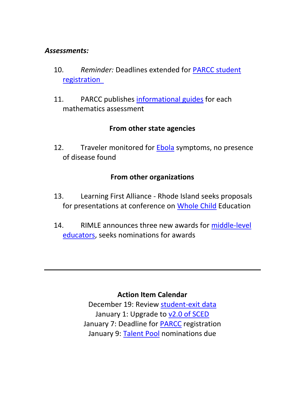#### *Assessments:*

- 10. *Reminder:* Deadlines extended for [PARCC student](#page-8-1)  [registration](#page-8-1)
- 11. PARCC publishes [informational guides](#page-9-0) for each mathematics assessment

### **From other state agencies**

12. Traveler monitored for [Ebola](#page-9-1) symptoms, no presence of disease found

## **From other organizations**

- 13. Learning First Alliance Rhode Island seeks proposals for presentations at conference on [Whole Child](#page-10-0) Education
- 14. RIMLE announces three new awards for [middle-level](#page-11-0)  [educators,](#page-11-0) seeks nominations for awards

#### **Action Item Calendar**

December 19: Review [student-exit data](http://www.ride.ri.gov/Portals/0/Uploads/Documents/FieldMemos/112114-FM.pdf) January 1: Upgrade to [v2.0 of SCED](http://www.ride.ri.gov/Portals/0/Uploads/Documents/112614-FM.pdf) January 7: Deadline for [PARCC](http://www.ride.ri.gov/Portals/0/Uploads/Documents/FieldMemos/Document1120514-FM.pdf) registration January 9: [Talent Pool](http://www.ride.ri.gov/Portals/0/Uploads/Documents/FieldMemos/Document1120514-FM.pdf) nominations due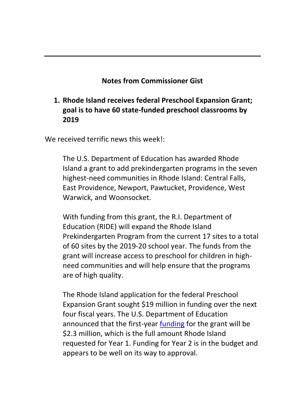## **Notes from Commissioner Gist**

# <span id="page-2-0"></span>**1. Rhode Island receives federal Preschool Expansion Grant; goal is to have 60 state-funded preschool classrooms by 2019**

We received terrific news this week!:

The U.S. Department of Education has awarded Rhode Island a grant to add prekindergarten programs in the seven highest-need communities in Rhode Island: Central Falls, East Providence, Newport, Pawtucket, Providence, West Warwick, and Woonsocket.

With funding from this grant, the R.I. Department of Education (RIDE) will expand the Rhode Island Prekindergarten Program from the current 17 sites to a total of 60 sites by the 2019-20 school year. The funds from the grant will increase access to preschool for children in highneed communities and will help ensure that the programs are of high quality.

The Rhode Island application for the federal Preschool Expansion Grant sought \$19 million in funding over the next four fiscal years. The U.S. Department of Education announced that the first-year [funding](http://www2.ed.gov/programs/preschooldevelopmentgrants/awards.html#_ftn1) for the grant will be \$2.3 million, which is the full amount Rhode Island requested for Year 1. Funding for Year 2 is in the budget and appears to be well on its way to approval.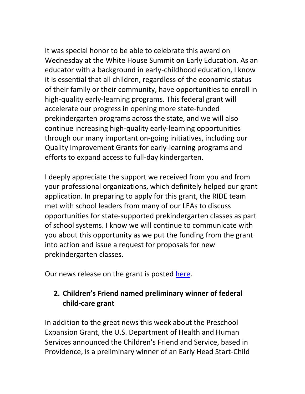It was special honor to be able to celebrate this award on Wednesday at the White House Summit on Early Education. As an educator with a background in early-childhood education, I know it is essential that all children, regardless of the economic status of their family or their community, have opportunities to enroll in high-quality early-learning programs. This federal grant will accelerate our progress in opening more state-funded prekindergarten programs across the state, and we will also continue increasing high-quality early-learning opportunities through our many important on-going initiatives, including our Quality Improvement Grants for early-learning programs and efforts to expand access to full-day kindergarten.

I deeply appreciate the support we received from you and from your professional organizations, which definitely helped our grant application. In preparing to apply for this grant, the RIDE team met with school leaders from many of our LEAs to discuss opportunities for state-supported prekindergarten classes as part of school systems. I know we will continue to communicate with you about this opportunity as we put the funding from the grant into action and issue a request for proposals for new prekindergarten classes.

Our news release on the grant is posted [here.](http://www.ride.ri.gov/InsideRIDE/AdditionalInformation/News/ViewArticle/tabid/408/ArticleId/193/R-I-receives-grant-to-add-preschool-classrooms-in-high-need-communities.aspx)

# <span id="page-3-0"></span>**2. Children's Friend named preliminary winner of federal child-care grant**

In addition to the great news this week about the Preschool Expansion Grant, the U.S. Department of Health and Human Services announced the Children's Friend and Service, based in Providence, is a preliminary winner of an Early Head Start-Child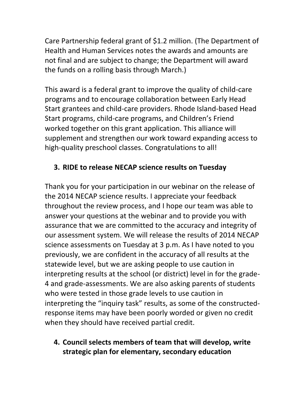Care Partnership federal grant of \$1.2 million. (The Department of Health and Human Services notes the awards and amounts are not final and are subject to change; the Department will award the funds on a rolling basis through March.)

This award is a federal grant to improve the quality of child-care programs and to encourage collaboration between Early Head Start grantees and child-care providers. Rhode Island-based Head Start programs, child-care programs, and Children's Friend worked together on this grant application. This alliance will supplement and strengthen our work toward expanding access to high-quality preschool classes. Congratulations to all!

# <span id="page-4-0"></span>**3. RIDE to release NECAP science results on Tuesday**

Thank you for your participation in our webinar on the release of the 2014 NECAP science results. I appreciate your feedback throughout the review process, and I hope our team was able to answer your questions at the webinar and to provide you with assurance that we are committed to the accuracy and integrity of our assessment system. We will release the results of 2014 NECAP science assessments on Tuesday at 3 p.m. As I have noted to you previously, we are confident in the accuracy of all results at the statewide level, but we are asking people to use caution in interpreting results at the school (or district) level in for the grade-4 and grade-assessments. We are also asking parents of students who were tested in those grade levels to use caution in interpreting the "inquiry task" results, as some of the constructedresponse items may have been poorly worded or given no credit when they should have received partial credit.

<span id="page-4-1"></span>**4. Council selects members of team that will develop, write strategic plan for elementary, secondary education**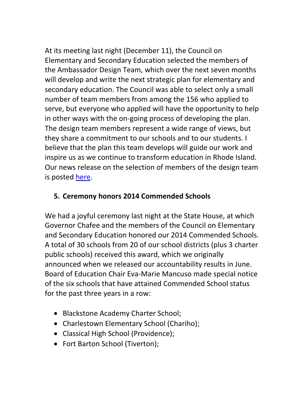At its meeting last night (December 11), the Council on Elementary and Secondary Education selected the members of the Ambassador Design Team, which over the next seven months will develop and write the next strategic plan for elementary and secondary education. The Council was able to select only a small number of team members from among the 156 who applied to serve, but everyone who applied will have the opportunity to help in other ways with the on-going process of developing the plan. The design team members represent a wide range of views, but they share a commitment to our schools and to our students. I believe that the plan this team develops will guide our work and inspire us as we continue to transform education in Rhode Island. Our news release on the selection of members of the design team is posted [here.](http://www.ride.ri.gov/InsideRIDE/AdditionalInformation/News/ViewArticle/tabid/408/ArticleId/195/Council-selects-team-to-design-next-strategic-plan-for-education.aspx)

# <span id="page-5-0"></span>**5. Ceremony honors 2014 Commended Schools**

We had a joyful ceremony last night at the State House, at which Governor Chafee and the members of the Council on Elementary and Secondary Education honored our 2014 Commended Schools. A total of 30 schools from 20 of our school districts (plus 3 charter public schools) received this award, which we originally announced when we released our accountability results in June. Board of Education Chair Eva-Marie Mancuso made special notice of the six schools that have attained Commended School status for the past three years in a row:

- Blackstone Academy Charter School;
- Charlestown Elementary School (Chariho);
- Classical High School (Providence);
- Fort Barton School (Tiverton);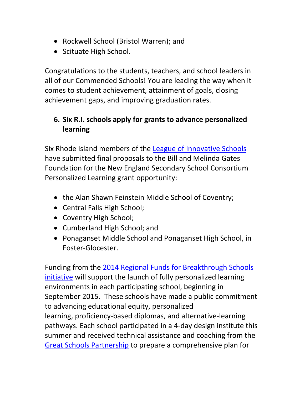- Rockwell School (Bristol Warren); and
- Scituate High School.

Congratulations to the students, teachers, and school leaders in all of our Commended Schools! You are leading the way when it comes to student achievement, attainment of goals, closing achievement gaps, and improving graduation rates.

# **6. Six R.I. schools apply for grants to advance personalized learning**

Six Rhode Island members of the [League of Innovative Schools](http://newenglandssc.org/league/about_the_league) have submitted final proposals to the Bill and Melinda Gates Foundation for the New England Secondary School Consortium Personalized Learning grant opportunity:

- the Alan Shawn Feinstein Middle School of Coventry;
- Central Falls High School:
- Coventry High School;
- Cumberland High School; and
- Ponaganset Middle School and Ponaganset High School, in Foster-Glocester.

Funding from the [2014 Regional Funds for Breakthrough Schools](http://nextgenlearning.org/press-release/communities-educators-six-regions-join-effort-develop-%E2%80%9Cbreakthrough%E2%80%9D-schools)  [initiative](http://nextgenlearning.org/press-release/communities-educators-six-regions-join-effort-develop-%E2%80%9Cbreakthrough%E2%80%9D-schools) will support the launch of fully personalized learning environments in each participating school, beginning in September 2015. These schools have made a public commitment to advancing educational equity, personalized learning, proficiency-based diplomas, and alternative-learning pathways. Each school participated in a 4-day design institute this summer and received technical assistance and coaching from the [Great Schools Partnership](http://www.greatschoolspartnership.org/) to prepare a comprehensive plan for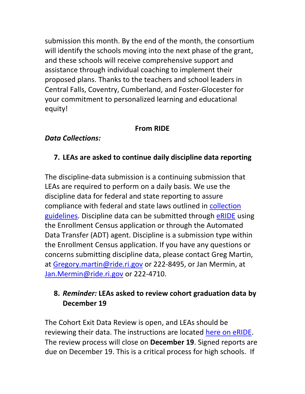submission this month. By the end of the month, the consortium will identify the schools moving into the next phase of the grant, and these schools will receive comprehensive support and assistance through individual coaching to implement their proposed plans. Thanks to the teachers and school leaders in Central Falls, Coventry, Cumberland, and Foster-Glocester for your commitment to personalized learning and educational equity!

#### **From RIDE**

#### *Data Collections:*

## <span id="page-7-0"></span>**7. LEAs are asked to continue daily discipline data reporting**

The discipline-data submission is a continuing submission that LEAs are required to perform on a daily basis. We use the discipline data for federal and state reporting to assure compliance with federal and state laws outlined in [collection](http://www.ride.ri.gov/Portals/0/Uploads/Documents/Information-and-Accountability-User-Friendly-Data/Data-Resources/Data-Collections/Guidance-Discipline-Collection-2013-14.pdf)  [guidelines.](http://www.ride.ri.gov/Portals/0/Uploads/Documents/Information-and-Accountability-User-Friendly-Data/Data-Resources/Data-Collections/Guidance-Discipline-Collection-2013-14.pdf) Discipline data can be submitted through [eRIDE](http://www.eride.ri.gov/) using the Enrollment Census application or through the Automated Data Transfer (ADT) agent. Discipline is a submission type within the Enrollment Census application. If you have any questions or concerns submitting discipline data, please contact Greg Martin, at [Gregory.martin@ride.ri.gov](mailto:Gregory.martin@ride.ri.gov) or 222-8495, or Jan Mermin, at [Jan.Mermin@ride.ri.gov](mailto:Jan.Mermin@ride.ri.gov) or 222-4710.

### <span id="page-7-1"></span>**8.** *Reminder:* **LEAs asked to review cohort graduation data by December 19**

The Cohort Exit Data Review is open, and LEAs should be reviewing their data. The instructions are located [here on eRIDE.](https://www.eride.ri.gov/exitsupdate/instructions.asp) The review process will close on **December 19**. Signed reports are due on December 19. This is a critical process for high schools. If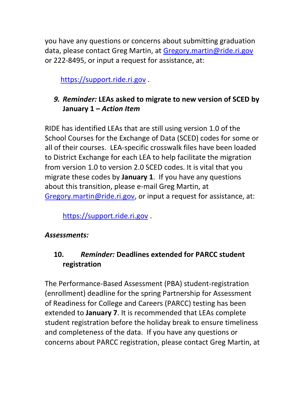you have any questions or concerns about submitting graduation data, please contact Greg Martin, at [Gregory.martin@ride.ri.gov](mailto:Gregory.martin@ride.ri.gov) or 222-8495, or input a request for assistance, at:

[https://support.ride.ri.gov](https://support.ride.ri.gov/) .

# <span id="page-8-0"></span>*9. Reminder:* **LEAs asked to migrate to new version of SCED by January 1 –** *Action Item*

RIDE has identified LEAs that are still using version 1.0 of the School Courses for the Exchange of Data (SCED) codes for some or all of their courses. LEA-specific crosswalk files have been loaded to District Exchange for each LEA to help facilitate the migration from version 1.0 to version 2.0 SCED codes. It is vital that you migrate these codes by **January 1**. If you have any questions about this transition, please e-mail Greg Martin, at [Gregory.martin@ride.ri.gov,](mailto:Gregory.martin@ride.ri.gov) or input a request for assistance, at:

[https://support.ride.ri.gov](https://support.ride.ri.gov/) .

#### *Assessments:*

# <span id="page-8-1"></span>**10.** *Reminder:* **Deadlines extended for PARCC student registration**

The Performance‐Based Assessment (PBA) student‐registration (enrollment) deadline for the spring Partnership for Assessment of Readiness for College and Careers (PARCC) testing has been extended to **January 7**. It is recommended that LEAs complete student registration before the holiday break to ensure timeliness and completeness of the data. If you have any questions or concerns about PARCC registration, please contact Greg Martin, at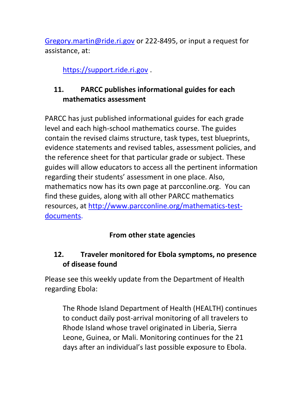[Gregory.martin@ride.ri.gov](mailto:Gregory.martin@ride.ri.gov) or 222-8495, or input a request for assistance, at:

[https://support.ride.ri.gov](https://support.ride.ri.gov/) .

# <span id="page-9-0"></span>**11. PARCC publishes informational guides for each mathematics assessment**

PARCC has just published informational guides for each grade level and each high-school mathematics course. The guides contain the revised claims structure, task types, test blueprints, evidence statements and revised tables, assessment policies, and the reference sheet for that particular grade or subject. These guides will allow educators to access all the pertinent information regarding their students' assessment in one place. Also, mathematics now has its own page at parcconline.org. You can find these guides, along with all other PARCC mathematics resources, at [http://www.parcconline.org/mathematics-test](http://www.parcconline.org/mathematics-test-documents)[documents.](http://www.parcconline.org/mathematics-test-documents)

# **From other state agencies**

# <span id="page-9-1"></span>**12. Traveler monitored for Ebola symptoms, no presence of disease found**

Please see this weekly update from the Department of Health regarding Ebola:

The Rhode Island Department of Health (HEALTH) continues to conduct daily post-arrival monitoring of all travelers to Rhode Island whose travel originated in Liberia, Sierra Leone, Guinea, or Mali. Monitoring continues for the 21 days after an individual's last possible exposure to Ebola.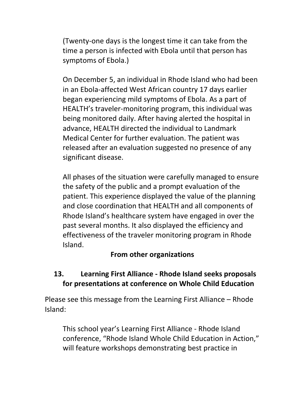(Twenty-one days is the longest time it can take from the time a person is infected with Ebola until that person has symptoms of Ebola.)

On December 5, an individual in Rhode Island who had been in an Ebola-affected West African country 17 days earlier began experiencing mild symptoms of Ebola. As a part of HEALTH's traveler-monitoring program, this individual was being monitored daily. After having alerted the hospital in advance, HEALTH directed the individual to Landmark Medical Center for further evaluation. The patient was released after an evaluation suggested no presence of any significant disease.

All phases of the situation were carefully managed to ensure the safety of the public and a prompt evaluation of the patient. This experience displayed the value of the planning and close coordination that HEALTH and all components of Rhode Island's healthcare system have engaged in over the past several months. It also displayed the efficiency and effectiveness of the traveler monitoring program in Rhode Island.

#### **From other organizations**

## <span id="page-10-0"></span>**13. Learning First Alliance - Rhode Island seeks proposals for presentations at conference on Whole Child Education**

Please see this message from the Learning First Alliance – Rhode Island:

This school year's Learning First Alliance - Rhode Island conference, "Rhode Island Whole Child Education in Action," will feature workshops demonstrating best practice in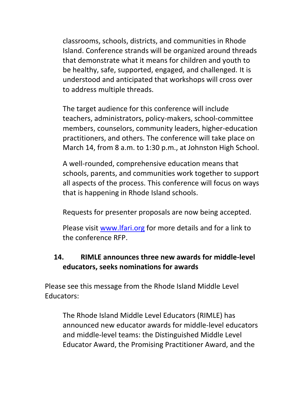classrooms, schools, districts, and communities in Rhode Island. Conference strands will be organized around threads that demonstrate what it means for children and youth to be healthy, safe, supported, engaged, and challenged. It is understood and anticipated that workshops will cross over to address multiple threads.

The target audience for this conference will include teachers, administrators, policy-makers, school-committee members, counselors, community leaders, higher-education practitioners, and others. The conference will take place on March 14, from 8 a.m. to 1:30 p.m., at Johnston High School.

A well-rounded, comprehensive education means that schools, parents, and communities work together to support all aspects of the process. This conference will focus on ways that is happening in Rhode Island schools.

Requests for presenter proposals are now being accepted.

Please visit [www.lfari.org](http://www.lfari.org/) for more details and for a link to the conference RFP.

# <span id="page-11-0"></span>**14. RIMLE announces three new awards for middle-level educators, seeks nominations for awards**

Please see this message from the Rhode Island Middle Level Educators:

The Rhode Island Middle Level Educators (RIMLE) has announced new educator awards for middle-level educators and middle-level teams: the Distinguished Middle Level Educator Award, the Promising Practitioner Award, and the